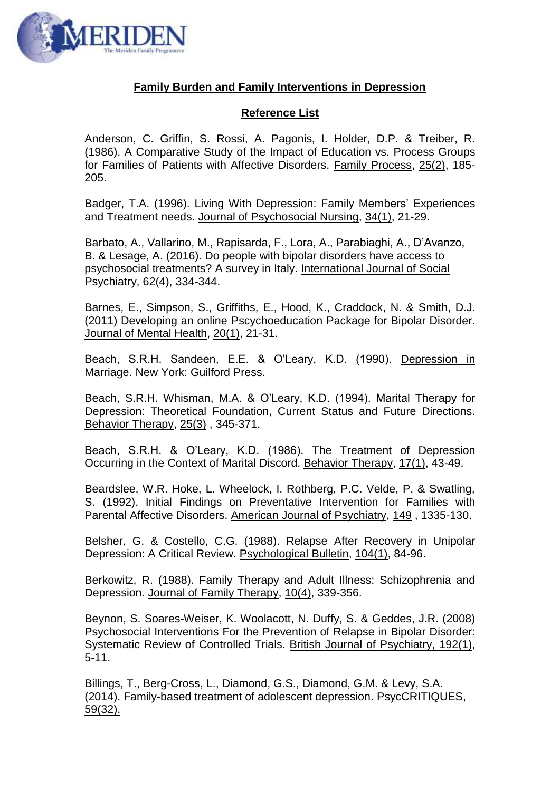

## **Family Burden and Family Interventions in Depression**

## **Reference List**

Anderson, C. Griffin, S. Rossi, A. Pagonis, I. Holder, D.P. & Treiber, R. (1986). A Comparative Study of the Impact of Education vs. Process Groups for Families of Patients with Affective Disorders. Family Process, 25(2), 185- 205.

Badger, T.A. (1996). Living With Depression: Family Members' Experiences and Treatment needs. Journal of Psychosocial Nursing, 34(1), 21-29.

Barbato, A., Vallarino, M., Rapisarda, F., Lora, A., Parabiaghi, A., D'Avanzo, B. & Lesage, A. (2016). Do people with bipolar disorders have access to psychosocial treatments? A survey in Italy. International Journal of Social Psychiatry, 62(4), 334-344.

Barnes, E., Simpson, S., Griffiths, E., Hood, K., Craddock, N. & Smith, D.J. (2011) Developing an online Pscychoeducation Package for Bipolar Disorder. Journal of Mental Health, 20(1), 21-31.

Beach, S.R.H. Sandeen, E.E. & O'Leary, K.D. (1990). Depression in Marriage. New York: Guilford Press.

Beach, S.R.H. Whisman, M.A. & O'Leary, K.D. (1994). Marital Therapy for Depression: Theoretical Foundation, Current Status and Future Directions. Behavior Therapy, 25(3) , 345-371.

Beach, S.R.H. & O'Leary, K.D. (1986). The Treatment of Depression Occurring in the Context of Marital Discord. Behavior Therapy, 17(1), 43-49.

Beardslee, W.R. Hoke, L. Wheelock, I. Rothberg, P.C. Velde, P. & Swatling, S. (1992). Initial Findings on Preventative Intervention for Families with Parental Affective Disorders. American Journal of Psychiatry, 149 , 1335-130.

Belsher, G. & Costello, C.G. (1988). Relapse After Recovery in Unipolar Depression: A Critical Review. Psychological Bulletin, 104(1), 84-96.

Berkowitz, R. (1988). Family Therapy and Adult Illness: Schizophrenia and Depression. Journal of Family Therapy, 10(4), 339-356.

Beynon, S. Soares-Weiser, K. Woolacott, N. Duffy, S. & Geddes, J.R. (2008) Psychosocial Interventions For the Prevention of Relapse in Bipolar Disorder: Systematic Review of Controlled Trials. British Journal of Psychiatry, 192(1), 5-11.

Billings, T., Berg-Cross, L., Diamond, G.S., Diamond, G.M. & Levy, S.A. (2014). Family-based treatment of adolescent depression. PsycCRITIQUES, 59(32).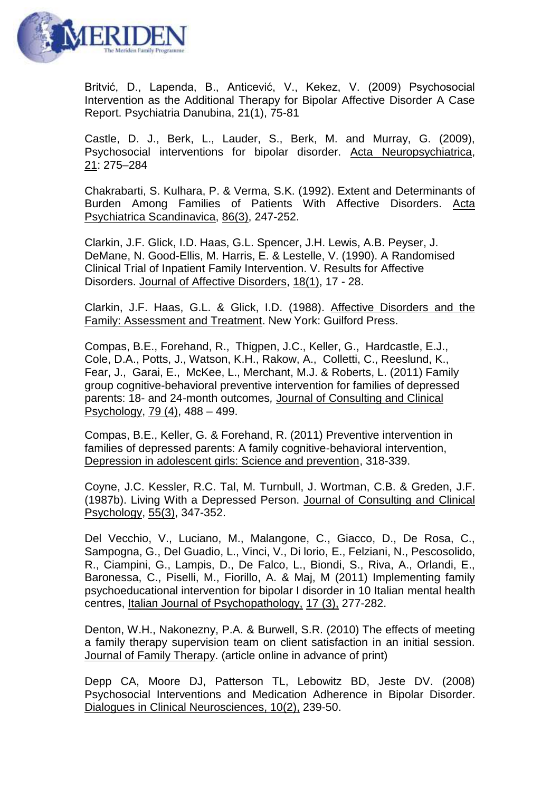

Britvić, D., Lapenda, B., Anticević, V., Kekez, V. (2009) Psychosocial Intervention as the Additional Therapy for Bipolar Affective Disorder A Case Report. Psychiatria Danubina, 21(1), 75-81

Castle, D. J., Berk, L., Lauder, S., Berk, M. and Murray, G. (2009), Psychosocial interventions for bipolar disorder. Acta Neuropsychiatrica, 21: 275–284

Chakrabarti, S. Kulhara, P. & Verma, S.K. (1992). Extent and Determinants of Burden Among Families of Patients With Affective Disorders. Acta Psychiatrica Scandinavica, 86(3), 247-252.

Clarkin, J.F. Glick, I.D. Haas, G.L. Spencer, J.H. Lewis, A.B. Peyser, J. DeMane, N. Good-Ellis, M. Harris, E. & Lestelle, V. (1990). A Randomised Clinical Trial of Inpatient Family Intervention. V. Results for Affective Disorders. Journal of Affective Disorders, 18(1), 17 - 28.

Clarkin, J.F. Haas, G.L. & Glick, I.D. (1988). Affective Disorders and the Family: Assessment and Treatment. New York: Guilford Press.

Compas, B.E., Forehand, R., Thigpen, J.C., Keller, G., Hardcastle, E.J., Cole, D.A., Potts, J., Watson, K.H., Rakow, A., Colletti, C., Reeslund, K., Fear, J., Garai, E., McKee, L., Merchant, M.J. & Roberts, L. (2011) Family group cognitive-behavioral preventive intervention for families of depressed parents: 18- and 24-month outcomes*,* Journal of Consulting and Clinical Psychology, 79 (4), 488 – 499.

Compas, B.E., Keller, G. & Forehand, R. (2011) Preventive intervention in families of depressed parents: A family cognitive-behavioral intervention, Depression in adolescent girls: Science and prevention, 318-339.

Coyne, J.C. Kessler, R.C. Tal, M. Turnbull, J. Wortman, C.B. & Greden, J.F. (1987b). Living With a Depressed Person. Journal of Consulting and Clinical Psychology, 55(3), 347-352.

Del Vecchio, V., Luciano, M., Malangone, C., Giacco, D., De Rosa, C., Sampogna, G., Del Guadio, L., Vinci, V., Di lorio, E., Felziani, N., Pescosolido, R., Ciampini, G., Lampis, D., De Falco, L., Biondi, S., Riva, A., Orlandi, E., Baronessa, C., Piselli, M., Fiorillo, A. & Maj, M (2011) Implementing family psychoeducational intervention for bipolar I disorder in 10 Italian mental health centres, Italian Journal of Psychopathology, 17 (3), 277-282.

Denton, W.H., Nakonezny, P.A. & Burwell, S.R. (2010) The effects of meeting a family therapy supervision team on client satisfaction in an initial session. Journal of Family Therapy. (article online in advance of print)

Depp CA, Moore DJ, Patterson TL, Lebowitz BD, Jeste DV. (2008) Psychosocial Interventions and Medication Adherence in Bipolar Disorder. Dialogues in Clinical Neurosciences, 10(2), 239-50.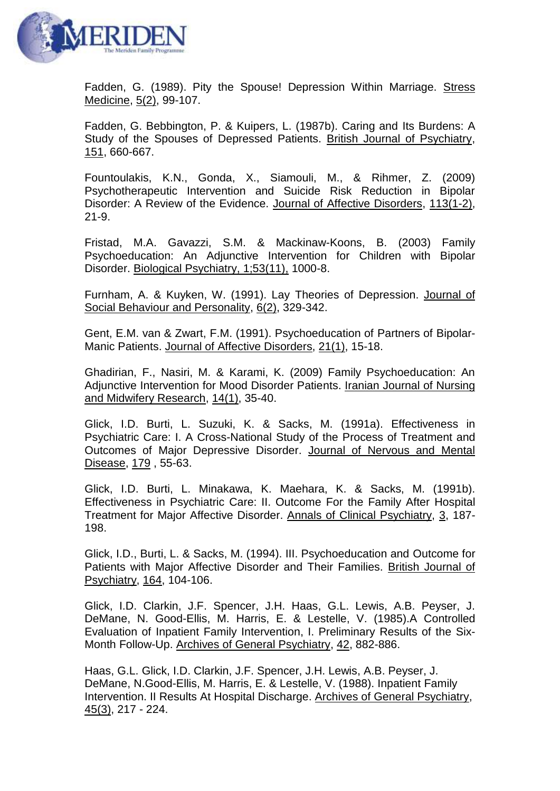

Fadden, G. (1989). Pity the Spouse! Depression Within Marriage. Stress Medicine, 5(2), 99-107.

Fadden, G. Bebbington, P. & Kuipers, L. (1987b). Caring and Its Burdens: A Study of the Spouses of Depressed Patients. British Journal of Psychiatry, 151, 660-667.

Fountoulakis, K.N., Gonda, X., Siamouli, M., & Rihmer, Z. (2009) Psychotherapeutic Intervention and Suicide Risk Reduction in Bipolar Disorder: A Review of the Evidence. Journal of Affective Disorders, 113(1-2), 21-9.

Fristad, M.A. Gavazzi, S.M. & Mackinaw-Koons, B. (2003) Family Psychoeducation: An Adjunctive Intervention for Children with Bipolar Disorder. Biological Psychiatry, 1;53(11), 1000-8.

Furnham, A. & Kuyken, W. (1991). Lay Theories of Depression. Journal of Social Behaviour and Personality, 6(2), 329-342.

Gent, E.M. van & Zwart, F.M. (1991). Psychoeducation of Partners of Bipolar-Manic Patients. Journal of Affective Disorders, 21(1), 15-18.

Ghadirian, F., Nasiri, M. & Karami, K. (2009) Family Psychoeducation: An Adjunctive Intervention for Mood Disorder Patients. Iranian Journal of Nursing and Midwifery Research, 14(1), 35-40.

Glick, I.D. Burti, L. Suzuki, K. & Sacks, M. (1991a). Effectiveness in Psychiatric Care: I. A Cross-National Study of the Process of Treatment and Outcomes of Major Depressive Disorder. Journal of Nervous and Mental Disease, 179 , 55-63.

Glick, I.D. Burti, L. Minakawa, K. Maehara, K. & Sacks, M. (1991b). Effectiveness in Psychiatric Care: II. Outcome For the Family After Hospital Treatment for Major Affective Disorder. Annals of Clinical Psychiatry, 3, 187- 198.

Glick, I.D., Burti, L. & Sacks, M. (1994). III. Psychoeducation and Outcome for Patients with Major Affective Disorder and Their Families. British Journal of Psychiatry, 164, 104-106.

Glick, I.D. Clarkin, J.F. Spencer, J.H. Haas, G.L. Lewis, A.B. Peyser, J. DeMane, N. Good-Ellis, M. Harris, E. & Lestelle, V. (1985).A Controlled Evaluation of Inpatient Family Intervention, I. Preliminary Results of the Six-Month Follow-Up. Archives of General Psychiatry, 42, 882-886.

Haas, G.L. Glick, I.D. Clarkin, J.F. Spencer, J.H. Lewis, A.B. Peyser, J. DeMane, N.Good-Ellis, M. Harris, E. & Lestelle, V. (1988). Inpatient Family Intervention. II Results At Hospital Discharge. Archives of General Psychiatry, 45(3), 217 - 224.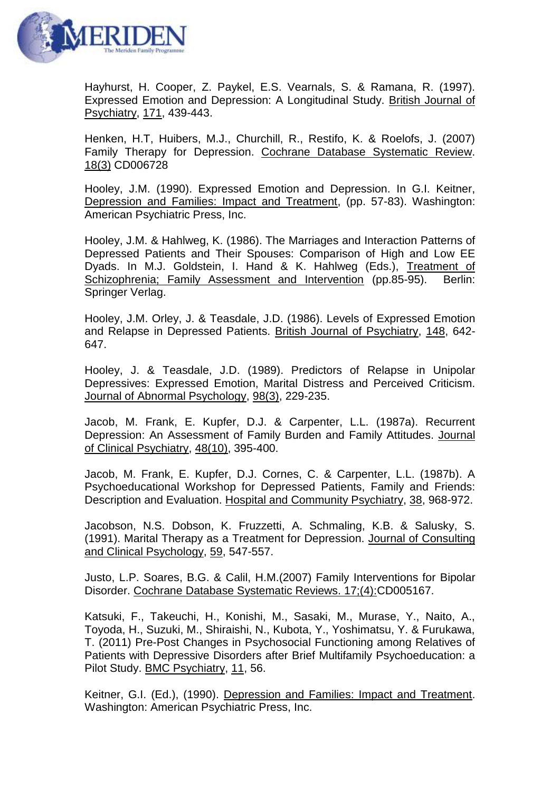

Hayhurst, H. Cooper, Z. Paykel, E.S. Vearnals, S. & Ramana, R. (1997). Expressed Emotion and Depression: A Longitudinal Study. British Journal of Psychiatry, 171, 439-443.

Henken, H.T, Huibers, M.J., Churchill, R., Restifo, K. & Roelofs, J. (2007) Family Therapy for Depression. Cochrane Database Systematic Review. 18(3) CD006728

Hooley, J.M. (1990). Expressed Emotion and Depression. In G.I. Keitner, Depression and Families: Impact and Treatment, (pp. 57-83). Washington: American Psychiatric Press, Inc.

Hooley, J.M. & Hahlweg, K. (1986). The Marriages and Interaction Patterns of Depressed Patients and Their Spouses: Comparison of High and Low EE Dyads. In M.J. Goldstein, I. Hand & K. Hahlweg (Eds.), Treatment of Schizophrenia; Family Assessment and Intervention (pp.85-95). Berlin: Springer Verlag.

Hooley, J.M. Orley, J. & Teasdale, J.D. (1986). Levels of Expressed Emotion and Relapse in Depressed Patients. British Journal of Psychiatry, 148, 642- 647.

Hooley, J. & Teasdale, J.D. (1989). Predictors of Relapse in Unipolar Depressives: Expressed Emotion, Marital Distress and Perceived Criticism. Journal of Abnormal Psychology, 98(3), 229-235.

Jacob, M. Frank, E. Kupfer, D.J. & Carpenter, L.L. (1987a). Recurrent Depression: An Assessment of Family Burden and Family Attitudes. Journal of Clinical Psychiatry, 48(10), 395-400.

Jacob, M. Frank, E. Kupfer, D.J. Cornes, C. & Carpenter, L.L. (1987b). A Psychoeducational Workshop for Depressed Patients, Family and Friends: Description and Evaluation. Hospital and Community Psychiatry, 38, 968-972.

Jacobson, N.S. Dobson, K. Fruzzetti, A. Schmaling, K.B. & Salusky, S. (1991). Marital Therapy as a Treatment for Depression. Journal of Consulting and Clinical Psychology, 59, 547-557.

Justo, L.P. Soares, B.G. & Calil, H.M.(2007) Family Interventions for Bipolar Disorder. Cochrane Database Systematic Reviews. 17;(4):CD005167.

Katsuki, F., Takeuchi, H., Konishi, M., Sasaki, M., Murase, Y., Naito, A., Toyoda, H., Suzuki, M., Shiraishi, N., Kubota, Y., Yoshimatsu, Y. & Furukawa, T. (2011) Pre-Post Changes in Psychosocial Functioning among Relatives of Patients with Depressive Disorders after Brief Multifamily Psychoeducation: a Pilot Study. BMC Psychiatry, 11, 56.

Keitner, G.I. (Ed.), (1990). Depression and Families: Impact and Treatment. Washington: American Psychiatric Press, Inc.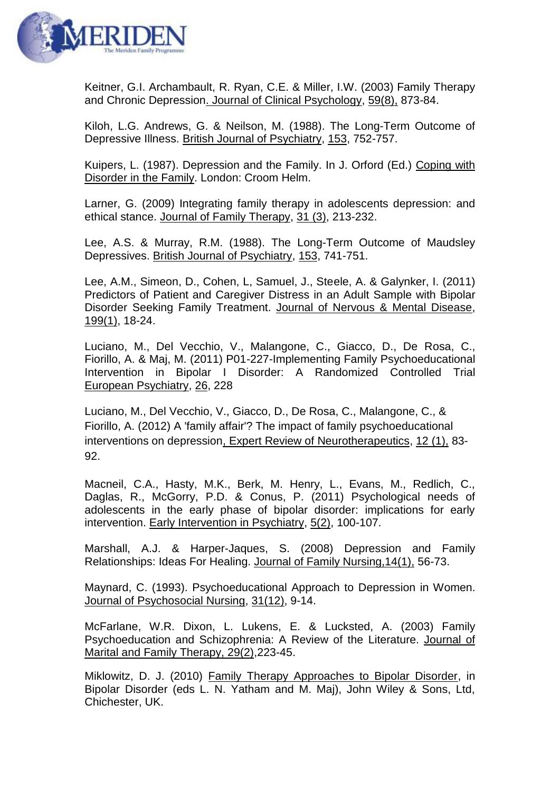

Keitner, G.I. Archambault, R. Ryan, C.E. & Miller, I.W. (2003) Family Therapy and Chronic Depression. Journal of Clinical Psychology, 59(8), 873-84.

Kiloh, L.G. Andrews, G. & Neilson, M. (1988). The Long-Term Outcome of Depressive Illness. British Journal of Psychiatry, 153, 752-757.

Kuipers, L. (1987). Depression and the Family. In J. Orford (Ed.) Coping with Disorder in the Family. London: Croom Helm.

Larner, G. (2009) Integrating family therapy in adolescents depression: and ethical stance. Journal of Family Therapy, 31 (3), 213-232.

Lee, A.S. & Murray, R.M. (1988). The Long-Term Outcome of Maudsley Depressives. British Journal of Psychiatry, 153, 741-751.

Lee, A.M., Simeon, D., Cohen, L, Samuel, J., Steele, A. & Galynker, I. (2011) Predictors of Patient and Caregiver Distress in an Adult Sample with Bipolar Disorder Seeking Family Treatment. Journal of Nervous & Mental Disease, 199(1), 18-24.

Luciano, M., Del Vecchio, V., Malangone, C., Giacco, D., De Rosa, C., Fiorillo, A. & Maj, M. (2011) P01-227-Implementing Family Psychoeducational Intervention in Bipolar I Disorder: A Randomized Controlled Trial European Psychiatry, 26, 228

Luciano, M., Del Vecchio, V., Giacco, D., De Rosa, C., Malangone, C., & Fiorillo, A. (2012) A 'family affair'? The impact of family psychoeducational interventions on depression, Expert Review of Neurotherapeutics, 12 (1), 83- 92.

Macneil, C.A., Hasty, M.K., Berk, M. Henry, L., Evans, M., Redlich, C., Daglas, R., McGorry, P.D. & Conus, P. (2011) Psychological needs of adolescents in the early phase of bipolar disorder: implications for early intervention. Early Intervention in Psychiatry, 5(2), 100-107.

Marshall, A.J. & Harper-Jaques, S. (2008) Depression and Family Relationships: Ideas For Healing. Journal of Family Nursing,14(1), 56-73.

Maynard, C. (1993). Psychoeducational Approach to Depression in Women. Journal of Psychosocial Nursing, 31(12), 9-14.

McFarlane, W.R. Dixon, L. Lukens, E. & Lucksted, A. (2003) Family Psychoeducation and Schizophrenia: A Review of the Literature. Journal of Marital and Family Therapy, 29(2),223-45.

Miklowitz, D. J. (2010) Family Therapy Approaches to Bipolar Disorder, in Bipolar Disorder (eds L. N. Yatham and M. Maj), John Wiley & Sons, Ltd, Chichester, UK.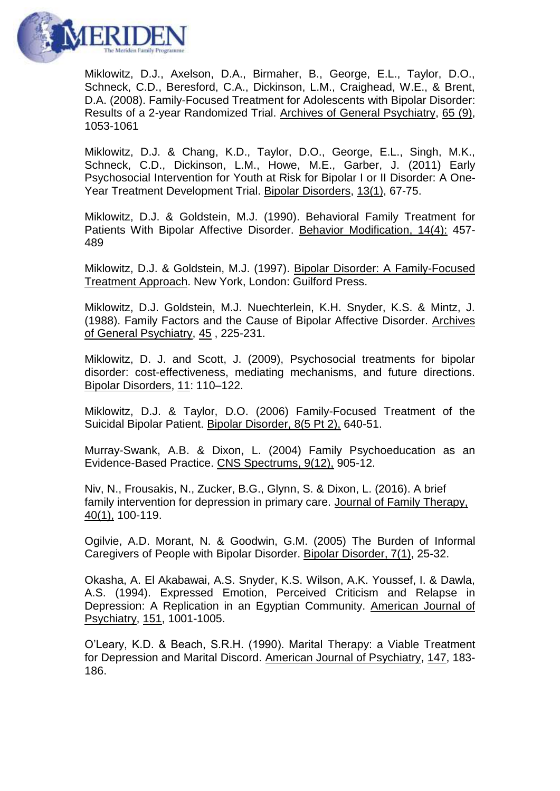

Miklowitz, D.J., Axelson, D.A., Birmaher, B., George, E.L., Taylor, D.O., Schneck, C.D., Beresford, C.A., Dickinson, L.M., Craighead, W.E., & Brent, D.A. (2008). Family-Focused Treatment for Adolescents with Bipolar Disorder: Results of a 2-year Randomized Trial. Archives of General Psychiatry, 65 (9), 1053-1061

Miklowitz, D.J. & Chang, K.D., Taylor, D.O., George, E.L., Singh, M.K., Schneck, C.D., Dickinson, L.M., Howe, M.E., Garber, J. (2011) Early Psychosocial Intervention for Youth at Risk for Bipolar I or II Disorder: A One-Year Treatment Development Trial. Bipolar Disorders, 13(1), 67-75.

Miklowitz, D.J. & Goldstein, M.J. (1990). Behavioral Family Treatment for Patients With Bipolar Affective Disorder. Behavior Modification, 14(4): 457- 489

Miklowitz, D.J. & Goldstein, M.J. (1997). Bipolar Disorder: A Family-Focused Treatment Approach. New York, London: Guilford Press.

Miklowitz, D.J. Goldstein, M.J. Nuechterlein, K.H. Snyder, K.S. & Mintz, J. (1988). Family Factors and the Cause of Bipolar Affective Disorder. Archives of General Psychiatry, 45 , 225-231.

Miklowitz, D. J. and Scott, J. (2009), Psychosocial treatments for bipolar disorder: cost-effectiveness, mediating mechanisms, and future directions. Bipolar Disorders, 11: 110–122.

Miklowitz, D.J. & Taylor, D.O. (2006) Family-Focused Treatment of the Suicidal Bipolar Patient. Bipolar Disorder, 8(5 Pt 2), 640-51.

Murray-Swank, A.B. & Dixon, L. (2004) Family Psychoeducation as an Evidence-Based Practice. CNS Spectrums, 9(12), 905-12.

Niv, N., Frousakis, N., Zucker, B.G., Glynn, S. & Dixon, L. (2016). A brief family intervention for depression in primary care. Journal of Family Therapy, 40(1), 100-119.

Ogilvie, A.D. Morant, N. & Goodwin, G.M. (2005) The Burden of Informal Caregivers of People with Bipolar Disorder. Bipolar Disorder, 7(1), 25-32.

Okasha, A. El Akabawai, A.S. Snyder, K.S. Wilson, A.K. Youssef, I. & Dawla, A.S. (1994). Expressed Emotion, Perceived Criticism and Relapse in Depression: A Replication in an Egyptian Community. American Journal of Psychiatry, 151, 1001-1005.

O'Leary, K.D. & Beach, S.R.H. (1990). Marital Therapy: a Viable Treatment for Depression and Marital Discord. American Journal of Psychiatry, 147, 183- 186.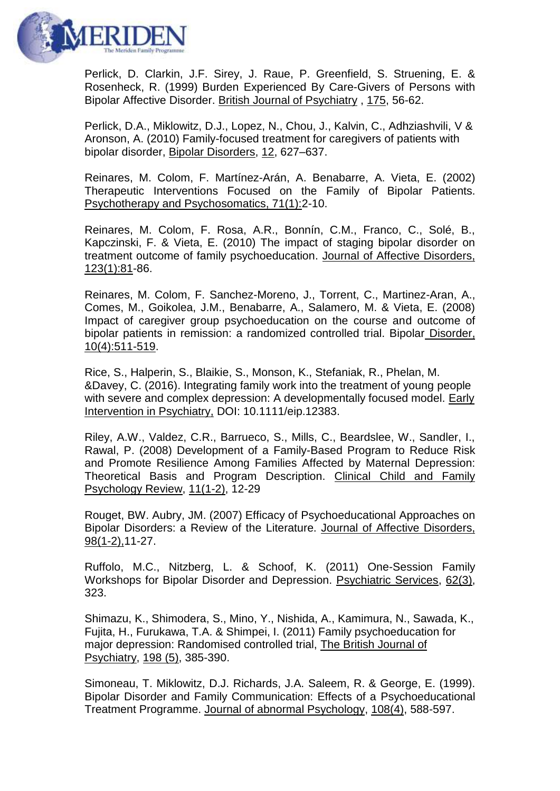

Perlick, D. Clarkin, J.F. Sirey, J. Raue, P. Greenfield, S. Struening, E. & Rosenheck, R. (1999) Burden Experienced By Care-Givers of Persons with Bipolar Affective Disorder. British Journal of Psychiatry , 175, 56-62.

Perlick, D.A., Miklowitz, D.J., Lopez, N., Chou, J., Kalvin, C., Adhziashvili, V & Aronson, A. (2010) Family-focused treatment for caregivers of patients with bipolar disorder, Bipolar Disorders, 12, 627–637.

Reinares, M. Colom, F. Martínez-Arán, A. Benabarre, A. Vieta, E. (2002) Therapeutic Interventions Focused on the Family of Bipolar Patients. Psychotherapy and Psychosomatics, 71(1):2-10.

Reinares, M. Colom, F. Rosa, A.R., Bonnín, C.M., Franco, C., Solé, B., Kapczinski, F. & Vieta, E. (2010) The impact of staging bipolar disorder on treatment outcome of family psychoeducation. Journal of Affective Disorders, 123(1):81-86.

Reinares, M. Colom, F. Sanchez-Moreno, J., Torrent, C., Martinez-Aran, A., Comes, M., Goikolea, J.M., Benabarre, A., Salamero, M. & Vieta, E. (2008) Impact of caregiver group psychoeducation on the course and outcome of bipolar patients in remission: a randomized controlled trial. Bipolar Disorder, 10(4):511-519.

Rice, S., Halperin, S., Blaikie, S., Monson, K., Stefaniak, R., Phelan, M. &Davey, C. (2016). Integrating family work into the treatment of young people with severe and complex depression: A developmentally focused model. Early Intervention in Psychiatry, DOI: 10.1111/eip.12383.

Riley, A.W., Valdez, C.R., Barrueco, S., Mills, C., Beardslee, W., Sandler, I., Rawal, P. (2008) Development of a Family-Based Program to Reduce Risk and Promote Resilience Among Families Affected by Maternal Depression: Theoretical Basis and Program Description. Clinical Child and Family Psychology Review, 11(1-2), 12-29

Rouget, BW. Aubry, JM. (2007) Efficacy of Psychoeducational Approaches on Bipolar Disorders: a Review of the Literature. Journal of Affective Disorders, 98(1-2),11-27.

Ruffolo, M.C., Nitzberg, L. & Schoof, K. (2011) One-Session Family Workshops for Bipolar Disorder and Depression. Psychiatric Services, 62(3), 323.

Shimazu, K., Shimodera, S., Mino, Y., Nishida, A., Kamimura, N., Sawada, K., Fujita, H., Furukawa, T.A. & Shimpei, I. (2011) Family psychoeducation for major depression: Randomised controlled trial, The British Journal of Psychiatry, 198 (5), 385-390.

Simoneau, T. Miklowitz, D.J. Richards, J.A. Saleem, R. & George, E. (1999). Bipolar Disorder and Family Communication: Effects of a Psychoeducational Treatment Programme. Journal of abnormal Psychology, 108(4), 588-597.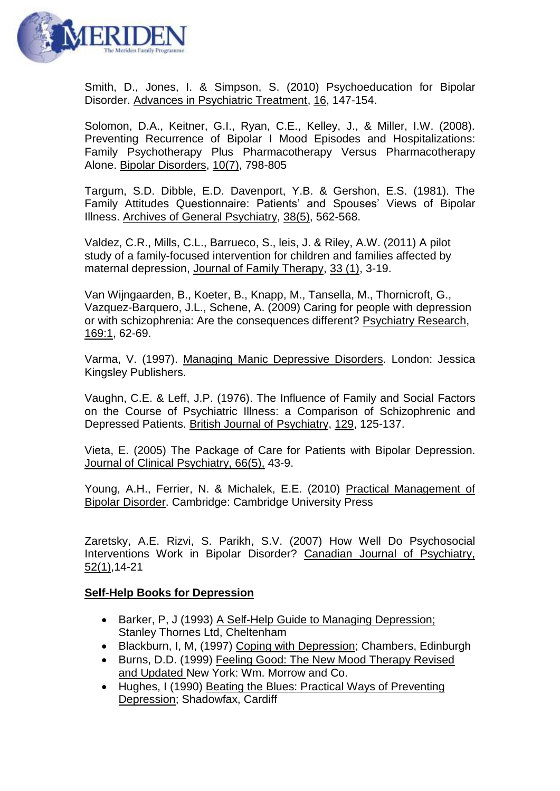

Smith, D., Jones, I. & Simpson, S. (2010) Psychoeducation for Bipolar Disorder. Advances in Psychiatric Treatment, 16, 147-154.

Solomon, D.A., Keitner, G.I., Ryan, C.E., Kelley, J., & Miller, I.W. (2008). Preventing Recurrence of Bipolar I Mood Episodes and Hospitalizations: Family Psychotherapy Plus Pharmacotherapy Versus Pharmacotherapy Alone. Bipolar Disorders, 10(7), 798-805

Targum, S.D. Dibble, E.D. Davenport, Y.B. & Gershon, E.S. (1981). The Family Attitudes Questionnaire: Patients' and Spouses' Views of Bipolar Illness. Archives of General Psychiatry, 38(5), 562-568.

Valdez, C.R., Mills, C.L., Barrueco, S., leis, J. & Riley, A.W. (2011) A pilot study of a family-focused intervention for children and families affected by maternal depression, Journal of Family Therapy, 33 (1), 3-19.

Van Wijngaarden, B., Koeter, B., Knapp, M., Tansella, M., Thornicroft, G., Vazquez-Barquero, J.L., Schene, A. (2009) Caring for people with depression or with schizophrenia: Are the consequences different? Psychiatry Research, 169:1, 62-69.

Varma, V. (1997). Managing Manic Depressive Disorders. London: Jessica Kingsley Publishers.

Vaughn, C.E. & Leff, J.P. (1976). The Influence of Family and Social Factors on the Course of Psychiatric Illness: a Comparison of Schizophrenic and Depressed Patients. British Journal of Psychiatry, 129, 125-137.

Vieta, E. (2005) The Package of Care for Patients with Bipolar Depression. Journal of Clinical Psychiatry, 66(5), 43-9.

Young, A.H., Ferrier, N. & Michalek, E.E. (2010) Practical Management of Bipolar Disorder. Cambridge: Cambridge University Press

Zaretsky, A.E. Rizvi, S. Parikh, S.V. (2007) How Well Do Psychosocial Interventions Work in Bipolar Disorder? Canadian Journal of Psychiatry, 52(1),14-21

## **Self-Help Books for Depression**

- Barker, P, J (1993) A Self-Help Guide to Managing Depression; Stanley Thornes Ltd, Cheltenham
- Blackburn, I, M, (1997) Coping with Depression; Chambers, Edinburgh
- Burns, D.D. (1999) Feeling Good: The New Mood Therapy Revised and Updated New York: Wm. Morrow and Co.
- Hughes, I (1990) Beating the Blues: Practical Ways of Preventing Depression; Shadowfax, Cardiff